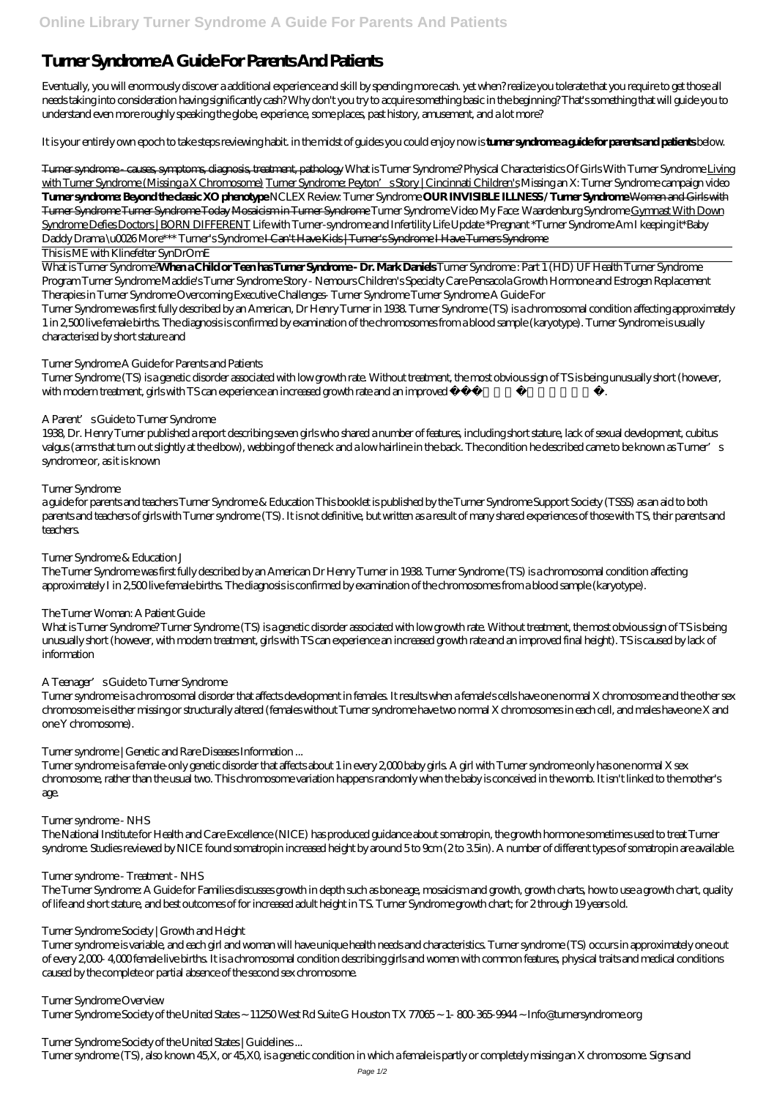# **Turner Syndrome A Guide For Parents And Patients**

Eventually, you will enormously discover a additional experience and skill by spending more cash. yet when? realize you tolerate that you require to get those all needs taking into consideration having significantly cash? Why don't you try to acquire something basic in the beginning? That's something that will guide you to understand even more roughly speaking the globe, experience, some places, past history, amusement, and a lot more?

It is your entirely own epoch to take steps reviewing habit. in the midst of guides you could enjoy now is **turner syndrome a guide for parents and patients** below.

Turner syndrome - causes, symptoms, diagnosis, treatment, pathology *What is Turner Syndrome? Physical Characteristics Of Girls With Turner Syndrome* Living with Turner Syndrome (Missing a X Chromosome) Turner Syndrome: Peyton's Story | Cincinnati Children's *Missing an X: Turner Syndrome campaign video* **Turner syndrome: Beyond the classic XO phenotype** *NCLEX Review: Turner Syndrome* **OUR INVISIBLE ILLNESS / Turner Syndrome** Women and Girls with Turner Syndrome Turner Syndrome Today Mosaicism in Turner Syndrome Turner Syndrome Video My Face: Waardenburg Syndrome Gymnast With Down Syndrome Defies Doctors | BORN DIFFERENT Life with Turner-syndrome and Infertility *Life Update \*Pregnant \*Turner Syndrome Am I keeping it\*Baby Daddy Drama \u0026 More\*\*\* Turner's Syndrome* I Can't Have Kids | Turner's Syndrome I Have Turners Syndrome

This is ME with Klinefelter SynDrOmE

What is Turner Syndrome?**When a Child or Teen has Turner Syndrome - Dr. Mark Daniels** *Turner Syndrome : Part 1 (HD)* UF Health Turner Syndrome Program Turner Syndrome Maddie's Turner Syndrome Story - Nemours Children's Specialty Care Pensacola Growth Hormone and Estrogen Replacement Therapies in Turner Syndrome Overcoming Executive Challenges- Turner Syndrome *Turner Syndrome A Guide For*

Turner Syndrome was first fully described by an American, Dr Henry Turner in 1938. Turner Syndrome (TS) is a chromosomal condition affecting approximately 1 in 2,500 live female births. The diagnosis is confirmed by examination of the chromosomes from a blood sample (karyotype). Turner Syndrome is usually characterised by short stature and

Turner syndrome is a chromosomal disorder that affects development in females. It results when a female's cells have one normal X chromosome and the other sex chromosome is either missing or structurally altered (females without Turner syndrome have two normal X chromosomes in each cell, and males have one X and one Y chromosome).

# *Turner Syndrome A Guide for Parents and Patients*

Turner syndrome is a female-only genetic disorder that affects about 1 in every 2,000 baby girls. A girl with Turner syndrome only has one normal X sex chromosome, rather than the usual two. This chromosome variation happens randomly when the baby is conceived in the womb. It isn't linked to the mother's age.

Turner Syndrome (TS) is a genetic disorder associated with low growth rate. Without treatment, the most obvious sign of TS is being unusually short (however, with modern treatment, girls with TS can experience an increased growth rate and an improved fi nal height).

# *A Parent's Guide to Turner Syndrome*

1938, Dr. Henry Turner published a report describing seven girls who shared a number of features, including short stature, lack of sexual development, cubitus valgus (arms that turn out slightly at the elbow), webbing of the neck and a low hairline in the back. The condition he described came to be known as Turner's syndrome or, as it is known

# *Turner Syndrome*

a guide for parents and teachers Turner Syndrome & Education This booklet is published by the Turner Syndrome Support Society (TSSS) as an aid to both parents and teachers of girls with Turner syndrome (TS). It is not definitive, but written as a result of many shared experiences of those with TS, their parents and teachers.

# *Turner Syndrome & Education J*

The Turner Syndrome was first fully described by an American Dr Henry Turner in 1938. Turner Syndrome (TS) is a chromosomal condition affecting approximately I in 2,500 live female births. The diagnosis is confirmed by examination of the chromosomes from a blood sample (karyotype).

# *The Turner Woman: A Patient Guide*

What is Turner Syndrome? Turner Syndrome (TS) is a genetic disorder associated with low growth rate. Without treatment, the most obvious sign of TS is being unusually short (however, with modern treatment, girls with TS can experience an increased growth rate and an improved final height). TS is caused by lack of information

# *A Teenager's Guide to Turner Syndrome*

# *Turner syndrome | Genetic and Rare Diseases Information ...*

# *Turner syndrome - NHS*

The National Institute for Health and Care Excellence (NICE) has produced guidance about somatropin, the growth hormone sometimes used to treat Turner syndrome. Studies reviewed by NICE found somatropin increased height by around 5 to 9cm (2 to 3.5in). A number of different types of somatropin are available.

### *Turner syndrome - Treatment - NHS*

The Turner Syndrome: A Guide for Families discusses growth in depth such as bone age, mosaicism and growth, growth charts, how to use a growth chart, quality of life and short stature, and best outcomes of for increased adult height in TS. Turner Syndrome growth chart; for 2 through 19 years old.

### *Turner Syndrome Society | Growth and Height*

Turner syndrome is variable, and each girl and woman will have unique health needs and characteristics. Turner syndrome (TS) occurs in approximately one out of every 2,000- 4,000 female live births. It is a chromosomal condition describing girls and women with common features, physical traits and medical conditions caused by the complete or partial absence of the second sex chromosome.

#### *Turner Syndrome Overview*

Turner Syndrome Society of the United States ~ 11250 West Rd Suite G Houston TX 77065 ~ 1- 800-365-9944 ~ Info@turnersyndrome.org

*Turner Syndrome Society of the United States | Guidelines ...*

Turner syndrome (TS), also known 45,X, or 45,X0, is a genetic condition in which a female is partly or completely missing an X chromosome. Signs and